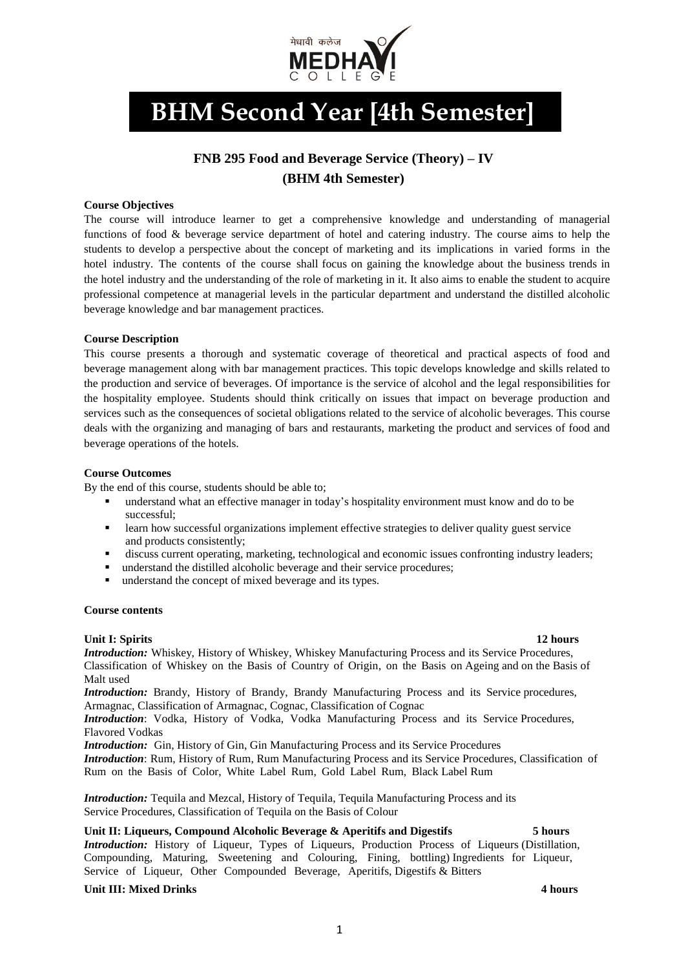

# **BHM Second Year [4th Semester]**

# **FNB 295 Food and Beverage Service (Theory) – IV (BHM 4th Semester)**

# **Course Objectives**

The course will introduce learner to get a comprehensive knowledge and understanding of managerial functions of food & beverage service department of hotel and catering industry. The course aims to help the students to develop a perspective about the concept of marketing and its implications in varied forms in the hotel industry. The contents of the course shall focus on gaining the knowledge about the business trends in the hotel industry and the understanding of the role of marketing in it. It also aims to enable the student to acquire professional competence at managerial levels in the particular department and understand the distilled alcoholic beverage knowledge and bar management practices.

# **Course Description**

This course presents a thorough and systematic coverage of theoretical and practical aspects of food and beverage management along with bar management practices. This topic develops knowledge and skills related to the production and service of beverages. Of importance is the service of alcohol and the legal responsibilities for the hospitality employee. Students should think critically on issues that impact on beverage production and services such as the consequences of societal obligations related to the service of alcoholic beverages. This course deals with the organizing and managing of bars and restaurants, marketing the product and services of food and beverage operations of the hotels.

# **Course Outcomes**

By the end of this course, students should be able to;

- understand what an effective manager in today's hospitality environment must know and do to be successful;
- **•** learn how successful organizations implement effective strategies to deliver quality guest service and products consistently;
- discuss current operating, marketing, technological and economic issues confronting industry leaders;
- understand the distilled alcoholic beverage and their service procedures;
- understand the concept of mixed beverage and its types.

# **Course contents**

# **Unit I:** Spirits 12 hours **12** hours **12** hours **12** hours **12** hours **12** hours **12** hours **12** hours **12** hours **12** hours **12** hours **12** hours **12** hours **12** hours **12** hours **12** hours **12** hours **12** hours **12** hou

*Introduction:* Whiskey, History of Whiskey, Whiskey Manufacturing Process and its Service Procedures, Classification of Whiskey on the Basis of Country of Origin, on the Basis on Ageing and on the Basis of Malt used

*Introduction:* Brandy, History of Brandy, Brandy Manufacturing Process and its Service procedures, Armagnac, Classification of Armagnac, Cognac, Classification of Cognac

*Introduction*: Vodka, History of Vodka, Vodka Manufacturing Process and its Service Procedures, Flavored Vodkas

*Introduction:* Gin, History of Gin, Gin Manufacturing Process and its Service Procedures *Introduction*: Rum, History of Rum, Rum Manufacturing Process and its Service Procedures, Classification of Rum on the Basis of Color, White Label Rum, Gold Label Rum, Black Label Rum

*Introduction:* Tequila and Mezcal, History of Tequila, Tequila Manufacturing Process and its Service Procedures, Classification of Tequila on the Basis of Colour

**Unit II: Liqueurs, Compound Alcoholic Beverage & Aperitifs and Digestifs 5 hours**  *Introduction:* History of Liqueur, Types of Liqueurs, Production Process of Liqueurs (Distillation, Compounding, Maturing, Sweetening and Colouring, Fining, bottling) Ingredients for Liqueur, Service of Liqueur, Other Compounded Beverage, Aperitifs, Digestifs & Bitters

# **Unit III: Mixed Drinks 4 hours**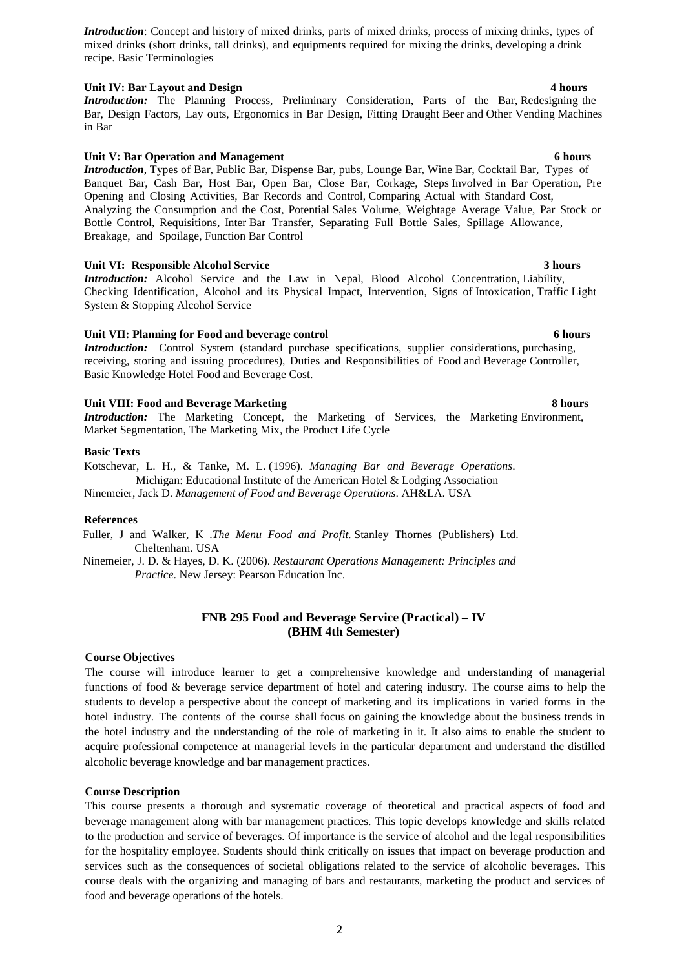*Introduction*: Concept and history of mixed drinks, parts of mixed drinks, process of mixing drinks, types of mixed drinks (short drinks, tall drinks), and equipments required for mixing the drinks, developing a drink recipe. Basic Terminologies

### **Unit IV: Bar Layout and Design 4 hours**

*Introduction:* The Planning Process, Preliminary Consideration, Parts of the Bar, Redesigning the Bar, Design Factors, Lay outs, Ergonomics in Bar Design, Fitting Draught Beer and Other Vending Machines in Bar

### **Unit V: Bar Operation and Management 6 hours**

*Introduction*, Types of Bar, Public Bar, Dispense Bar, pubs, Lounge Bar, Wine Bar, Cocktail Bar, Types of Banquet Bar, Cash Bar, Host Bar, Open Bar, Close Bar, Corkage, Steps Involved in Bar Operation, Pre Opening and Closing Activities, Bar Records and Control, Comparing Actual with Standard Cost, Analyzing the Consumption and the Cost, Potential Sales Volume, Weightage Average Value, Par Stock or Bottle Control, Requisitions, Inter Bar Transfer, Separating Full Bottle Sales, Spillage Allowance, Breakage, and Spoilage, Function Bar Control

#### **Unit VI: Responsible Alcohol Service 3 hours**

*Introduction:* Alcohol Service and the Law in Nepal, Blood Alcohol Concentration, Liability, Checking Identification, Alcohol and its Physical Impact, Intervention, Signs of Intoxication, Traffic Light System & Stopping Alcohol Service

### **Unit VII: Planning for Food and beverage control 6 hours**

*Introduction:* Control System (standard purchase specifications, supplier considerations, purchasing, receiving, storing and issuing procedures), Duties and Responsibilities of Food and Beverage Controller, Basic Knowledge Hotel Food and Beverage Cost.

#### **Unit VIII: Food and Beverage Marketing 8 hours**

*Introduction:* The Marketing Concept, the Marketing of Services, the Marketing Environment, Market Segmentation, The Marketing Mix, the Product Life Cycle

#### **Basic Texts**

Kotschevar, L. H., & Tanke, M. L. (1996). *Managing Bar and Beverage Operations*. Michigan: Educational Institute of the American Hotel & Lodging Association

Ninemeier, Jack D. *Management of Food and Beverage Operations*. AH&LA. USA

#### **References**

Fuller, J and Walker, K .*The Menu Food and Profit.* Stanley Thornes (Publishers) Ltd. Cheltenham. USA

Ninemeier, J. D. & Hayes, D. K. (2006). *Restaurant Operations Management: Principles and Practice*. New Jersey: Pearson Education Inc.

# **FNB 295 Food and Beverage Service (Practical) – IV (BHM 4th Semester)**

#### **Course Objectives**

The course will introduce learner to get a comprehensive knowledge and understanding of managerial functions of food & beverage service department of hotel and catering industry. The course aims to help the students to develop a perspective about the concept of marketing and its implications in varied forms in the hotel industry. The contents of the course shall focus on gaining the knowledge about the business trends in the hotel industry and the understanding of the role of marketing in it. It also aims to enable the student to acquire professional competence at managerial levels in the particular department and understand the distilled alcoholic beverage knowledge and bar management practices.

### **Course Description**

This course presents a thorough and systematic coverage of theoretical and practical aspects of food and beverage management along with bar management practices. This topic develops knowledge and skills related to the production and service of beverages. Of importance is the service of alcohol and the legal responsibilities for the hospitality employee. Students should think critically on issues that impact on beverage production and services such as the consequences of societal obligations related to the service of alcoholic beverages. This course deals with the organizing and managing of bars and restaurants, marketing the product and services of food and beverage operations of the hotels.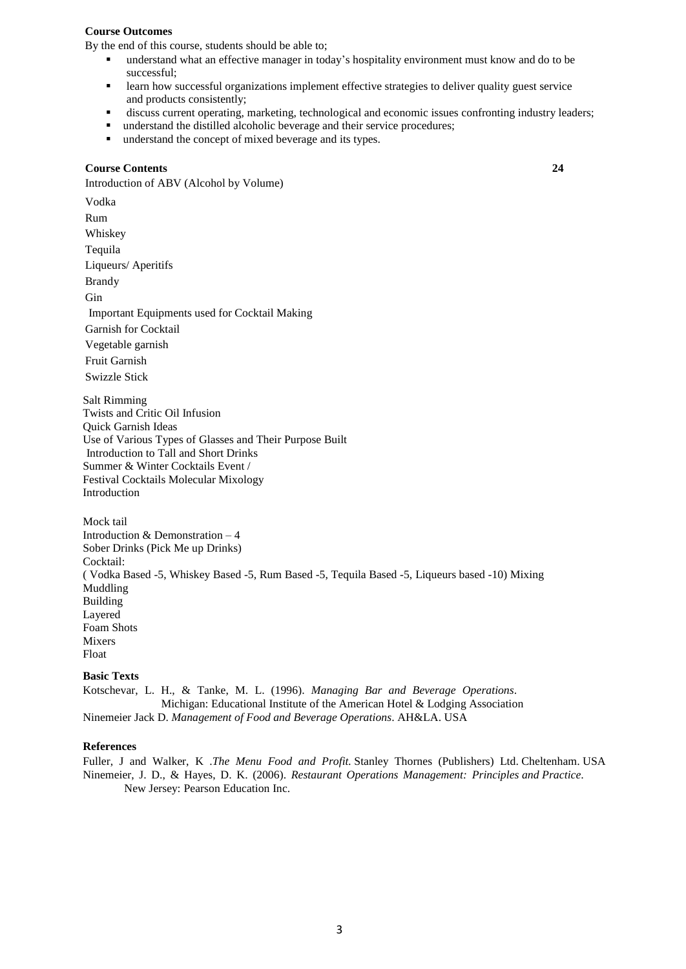#### **Course Outcomes**

By the end of this course, students should be able to;

- understand what an effective manager in today's hospitality environment must know and do to be successful;
- **•** learn how successful organizations implement effective strategies to deliver quality guest service and products consistently;
- discuss current operating, marketing, technological and economic issues confronting industry leaders;

**24**

- understand the distilled alcoholic beverage and their service procedures;
- understand the concept of mixed beverage and its types.

### **Course Contents**

Introduction of ABV (Alcohol by Volume)

Vodka Rum Whiskey Tequila Liqueurs/ Aperitifs Brandy Gin Important Equipments used for Cocktail Making Garnish for Cocktail Vegetable garnish Fruit Garnish Swizzle Stick

Salt Rimming Twists and Critic Oil Infusion Quick Garnish Ideas Use of Various Types of Glasses and Their Purpose Built Introduction to Tall and Short Drinks Summer & Winter Cocktails Event / Festival Cocktails Molecular Mixology Introduction

Mock tail Introduction & Demonstration – 4 Sober Drinks (Pick Me up Drinks) Cocktail: ( Vodka Based -5, Whiskey Based -5, Rum Based -5, Tequila Based -5, Liqueurs based -10) Mixing Muddling Building Layered Foam Shots Mixers Float

### **Basic Texts**

Kotschevar, L. H., & Tanke, M. L. (1996). *Managing Bar and Beverage Operations*. Michigan: Educational Institute of the American Hotel & Lodging Association Ninemeier Jack D. *Management of Food and Beverage Operations*. AH&LA. USA

# **References**

Fuller, J and Walker, K .*The Menu Food and Profit.* Stanley Thornes (Publishers) Ltd. Cheltenham. USA Ninemeier, J. D., & Hayes, D. K. (2006). *Restaurant Operations Management: Principles and Practice*. New Jersey: Pearson Education Inc.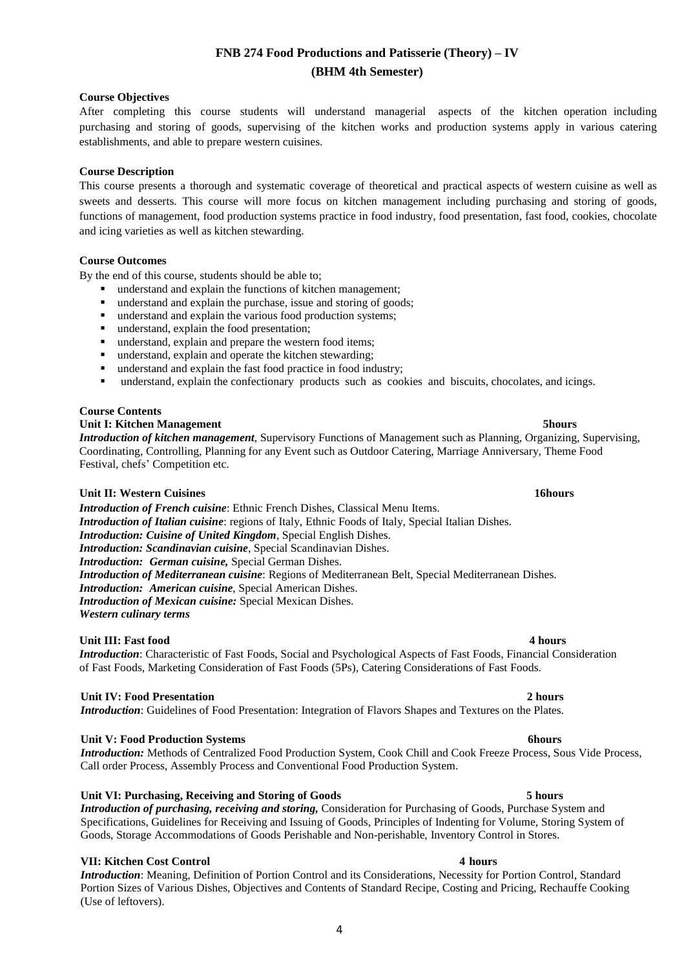# **FNB 274 Food Productions and Patisserie (Theory) – IV (BHM 4th Semester)**

# **Course Objectives**

After completing this course students will understand managerial aspects of the kitchen operation including purchasing and storing of goods, supervising of the kitchen works and production systems apply in various catering establishments, and able to prepare western cuisines.

# **Course Description**

This course presents a thorough and systematic coverage of theoretical and practical aspects of western cuisine as well as sweets and desserts. This course will more focus on kitchen management including purchasing and storing of goods, functions of management, food production systems practice in food industry, food presentation, fast food, cookies, chocolate and icing varieties as well as kitchen stewarding.

# **Course Outcomes**

By the end of this course, students should be able to;

- understand and explain the functions of kitchen management;
- understand and explain the purchase, issue and storing of goods;
- understand and explain the various food production systems;
- understand, explain the food presentation;
- understand, explain and prepare the western food items;
- understand, explain and operate the kitchen stewarding;
- understand and explain the fast food practice in food industry;
- understand, explain the confectionary products such as cookies and biscuits, chocolates, and icings.

# **Course Contents**

# **Unit I: Kitchen Management 5hours**

*Introduction of kitchen management*, Supervisory Functions of Management such as Planning, Organizing, Supervising, Coordinating, Controlling, Planning for any Event such as Outdoor Catering, Marriage Anniversary, Theme Food Festival, chefs' Competition etc.

# **Unit II: Western Cuisines 16hours**

*Introduction of French cuisine*: Ethnic French Dishes, Classical Menu Items. *Introduction of Italian cuisine*: regions of Italy, Ethnic Foods of Italy, Special Italian Dishes. *Introduction: Cuisine of United Kingdom*, Special English Dishes. *Introduction: Scandinavian cuisine*, Special Scandinavian Dishes. *Introduction: German cuisine,* Special German Dishes. *Introduction of Mediterranean cuisine*: Regions of Mediterranean Belt, Special Mediterranean Dishes. *Introduction: American cuisine*, Special American Dishes. *Introduction of Mexican cuisine:* Special Mexican Dishes. *Western culinary terms*

# **Unit III: Fast food 4 hours**

# *Introduction*: Characteristic of Fast Foods, Social and Psychological Aspects of Fast Foods, Financial Consideration of Fast Foods, Marketing Consideration of Fast Foods (5Ps), Catering Considerations of Fast Foods.

# **Unit IV: Food Presentation 2 hours**

*Introduction*: Guidelines of Food Presentation: Integration of Flavors Shapes and Textures on the Plates.

# **Unit V:** Food Production Systems **6hours** 6hours **6hours**

*Introduction:* Methods of Centralized Food Production System, Cook Chill and Cook Freeze Process, Sous Vide Process, Call order Process, Assembly Process and Conventional Food Production System.

# **Unit VI: Purchasing, Receiving and Storing of Goods 5 hours**

*Introduction of purchasing, receiving and storing,* Consideration for Purchasing of Goods, Purchase System and Specifications, Guidelines for Receiving and Issuing of Goods, Principles of Indenting for Volume, Storing System of Goods, Storage Accommodations of Goods Perishable and Non-perishable, Inventory Control in Stores.

# **VII: Kitchen Cost Control 4 hours**

*Introduction*: Meaning, Definition of Portion Control and its Considerations, Necessity for Portion Control, Standard Portion Sizes of Various Dishes, Objectives and Contents of Standard Recipe, Costing and Pricing, Rechauffe Cooking (Use of leftovers).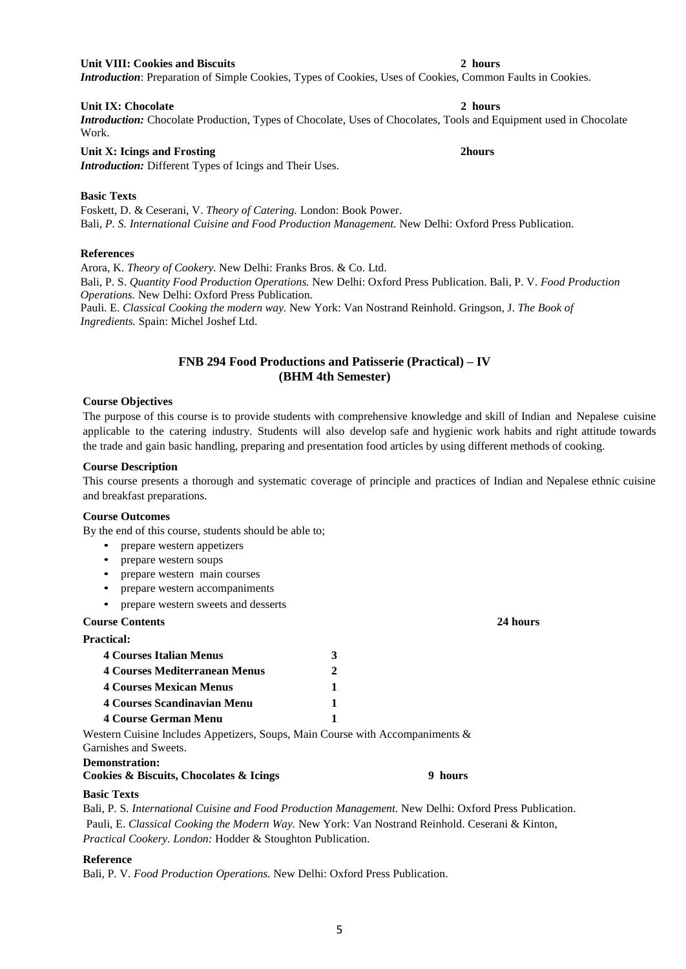### **Unit VIII: Cookies and Biscuits 2 hours**

*Introduction*: Preparation of Simple Cookies, Types of Cookies, Uses of Cookies, Common Faults in Cookies.

### **Unit IX: Chocolate 2 hours**

*Introduction:* Chocolate Production, Types of Chocolate, Uses of Chocolates, Tools and Equipment used in Chocolate Work.

### **Unit X: Icings and Frosting 2hours**

*Introduction:* Different Types of Icings and Their Uses.

# **Basic Texts**

Foskett, D. & Ceserani, V. *Theory of Catering.* London: Book Power. Bali*, P. S. International Cuisine and Food Production Management.* New Delhi: Oxford Press Publication.

# **References**

Arora, K. *Theory of Cookery.* New Delhi: Franks Bros. & Co. Ltd.

Bali, P. S. *Quantity Food Production Operations.* New Delhi: Oxford Press Publication. Bali, P. V. *Food Production Operations.* New Delhi: Oxford Press Publication.

Pauli. E. *Classical Cooking the modern way.* New York: Van Nostrand Reinhold. Gringson, J. *The Book of Ingredients.* Spain: Michel Joshef Ltd.

# **FNB 294 Food Productions and Patisserie (Practical) – IV (BHM 4th Semester)**

### **Course Objectives**

The purpose of this course is to provide students with comprehensive knowledge and skill of Indian and Nepalese cuisine applicable to the catering industry. Students will also develop safe and hygienic work habits and right attitude towards the trade and gain basic handling, preparing and presentation food articles by using different methods of cooking.

### **Course Description**

This course presents a thorough and systematic coverage of principle and practices of Indian and Nepalese ethnic cuisine and breakfast preparations.

#### **Course Outcomes**

By the end of this course, students should be able to;

- prepare western appetizers
- prepare western soups
- prepare western main courses
- prepare western accompaniments
- prepare western sweets and desserts

### **Course Contents 24 hours**

**Practical:**

| 4 Courses Italian Menus              | 3 |  |
|--------------------------------------|---|--|
| <b>4 Courses Mediterranean Menus</b> |   |  |
| <b>4 Courses Mexican Menus</b>       |   |  |
| <b>4 Courses Scandinavian Menu</b>   |   |  |
| <b>4 Course German Menu</b>          |   |  |

Western Cuisine Includes Appetizers, Soups, Main Course with Accompaniments & Garnishes and Sweets.

### **Demonstration:**

**Cookies & Biscuits, Chocolates & Icings 9 hours**

# **Basic Texts**

Bali, P. S*. International Cuisine and Food Production Management.* New Delhi: Oxford Press Publication. Pauli, E. *Classical Cooking the Modern Way.* New York: Van Nostrand Reinhold. Ceserani & Kinton, *Practical Cookery. London:* Hodder & Stoughton Publication.

# **Reference**

Bali, P. V. *Food Production Operations.* New Delhi: Oxford Press Publication.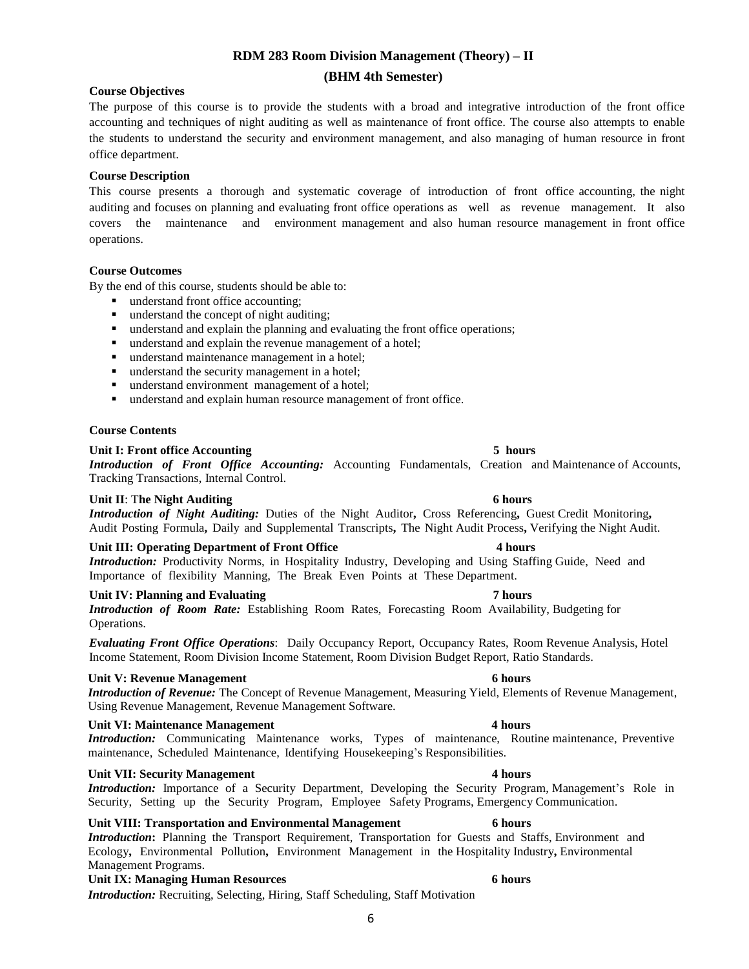# **RDM 283 Room Division Management (Theory) – II (BHM 4th Semester)**

# **Course Objectives**

The purpose of this course is to provide the students with a broad and integrative introduction of the front office accounting and techniques of night auditing as well as maintenance of front office. The course also attempts to enable the students to understand the security and environment management, and also managing of human resource in front office department.

# **Course Description**

This course presents a thorough and systematic coverage of introduction of front office accounting, the night auditing and focuses on planning and evaluating front office operations as well as revenue management. It also covers the maintenance and environment management and also human resource management in front office operations.

# **Course Outcomes**

By the end of this course, students should be able to:

- understand front office accounting;
- understand the concept of night auditing;
- understand and explain the planning and evaluating the front office operations;
- understand and explain the revenue management of a hotel;
- understand maintenance management in a hotel;
- understand the security management in a hotel;
- understand environment management of a hotel;
- understand and explain human resource management of front office.

# **Course Contents**

# **Unit I: Front office Accounting 5 hours**

*Introduction of Front Office Accounting:* Accounting Fundamentals, Creation and Maintenance of Accounts, Tracking Transactions, Internal Control.

# **Unit II**: T**he Night Auditing 6 hours**

*Introduction of Night Auditing:* Duties of the Night Auditor**,** Cross Referencing**,** Guest Credit Monitoring**,** Audit Posting Formula**,** Daily and Supplemental Transcripts**,** The Night Audit Process**,** Verifying the Night Audit.

# **Unit III: Operating Department of Front Office 4 hours**

*Introduction:* Productivity Norms, in Hospitality Industry, Developing and Using Staffing Guide, Need and Importance of flexibility Manning, The Break Even Points at These Department.

# **Unit IV: Planning and Evaluating 7 hours**

*Introduction of Room Rate:* Establishing Room Rates, Forecasting Room Availability, Budgeting for Operations.

*Evaluating Front Office Operations*: Daily Occupancy Report, Occupancy Rates, Room Revenue Analysis, Hotel Income Statement, Room Division Income Statement, Room Division Budget Report, Ratio Standards.

# **Unit V: Revenue Management 6 hours**

*Introduction of Revenue:* The Concept of Revenue Management, Measuring Yield, Elements of Revenue Management, Using Revenue Management, Revenue Management Software.

# **Unit VI: Maintenance Management 4 hours**

*Introduction:* Communicating Maintenance works, Types of maintenance, Routine maintenance, Preventive maintenance, Scheduled Maintenance, Identifying Housekeeping's Responsibilities.

# **Unit VII:** Security Management 4 hours **4 hours**

*Introduction:* Importance of a Security Department, Developing the Security Program, Management's Role in Security, Setting up the Security Program, Employee Safety Programs, Emergency Communication.

# **Unit VIII: Transportation and Environmental Management 6 hours**

*Introduction***:** Planning the Transport Requirement, Transportation for Guests and Staffs, Environment and Ecology**,** Environmental Pollution**,** Environment Management in the Hospitality Industry**,** Environmental Management Programs.

# **Unit IX: Managing Human Resources 6 hours**

*Introduction:* Recruiting, Selecting, Hiring, Staff Scheduling, Staff Motivation

6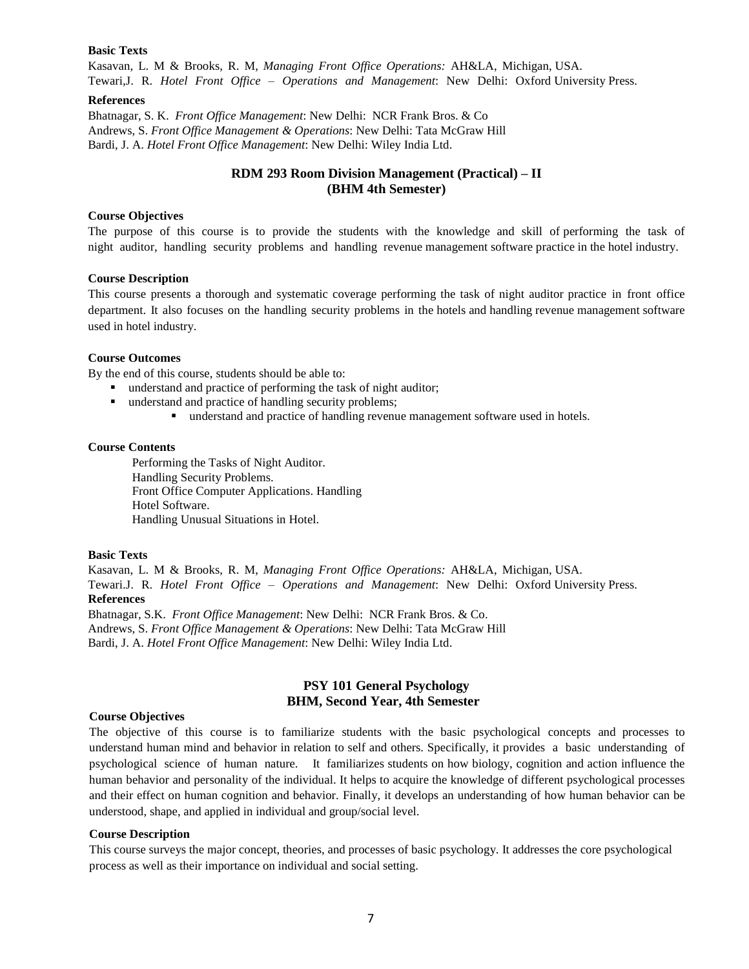#### **Basic Texts**

Kasavan, L. M & Brooks, R. M, *Managing Front Office Operations:* AH&LA, Michigan, USA. Tewari,J. R. *Hotel Front Office – Operations and Management*: New Delhi: Oxford University Press.

#### **References**

Bhatnagar, S. K. *Front Office Management*: New Delhi: NCR Frank Bros. & Co Andrews, S. *Front Office Management & Operations*: New Delhi: Tata McGraw Hill Bardi, J. A. *Hotel Front Office Management*: New Delhi: Wiley India Ltd.

# **RDM 293 Room Division Management (Practical) – II (BHM 4th Semester)**

### **Course Objectives**

The purpose of this course is to provide the students with the knowledge and skill of performing the task of night auditor, handling security problems and handling revenue management software practice in the hotel industry.

### **Course Description**

This course presents a thorough and systematic coverage performing the task of night auditor practice in front office department. It also focuses on the handling security problems in the hotels and handling revenue management software used in hotel industry.

#### **Course Outcomes**

By the end of this course, students should be able to:

- understand and practice of performing the task of night auditor;
- understand and practice of handling security problems;
	- understand and practice of handling revenue management software used in hotels.

#### **Course Contents**

Performing the Tasks of Night Auditor. Handling Security Problems. Front Office Computer Applications. Handling Hotel Software. Handling Unusual Situations in Hotel.

#### **Basic Texts**

Kasavan, L. M & Brooks, R. M, *Managing Front Office Operations:* AH&LA, Michigan, USA. Tewari.J. R. *Hotel Front Office – Operations and Management*: New Delhi: Oxford University Press. **References**

Bhatnagar, S.K. *Front Office Management*: New Delhi: NCR Frank Bros. & Co. Andrews, S. *Front Office Management & Operations*: New Delhi: Tata McGraw Hill Bardi, J. A. *Hotel Front Office Management*: New Delhi: Wiley India Ltd.

# **PSY 101 General Psychology BHM, Second Year, 4th Semester**

#### **Course Objectives**

The objective of this course is to familiarize students with the basic psychological concepts and processes to understand human mind and behavior in relation to self and others. Specifically, it provides a basic understanding of psychological science of human nature. It familiarizes students on how biology, cognition and action influence the human behavior and personality of the individual. It helps to acquire the knowledge of different psychological processes and their effect on human cognition and behavior. Finally, it develops an understanding of how human behavior can be understood, shape, and applied in individual and group/social level.

#### **Course Description**

This course surveys the major concept, theories, and processes of basic psychology. It addresses the core psychological process as well as their importance on individual and social setting.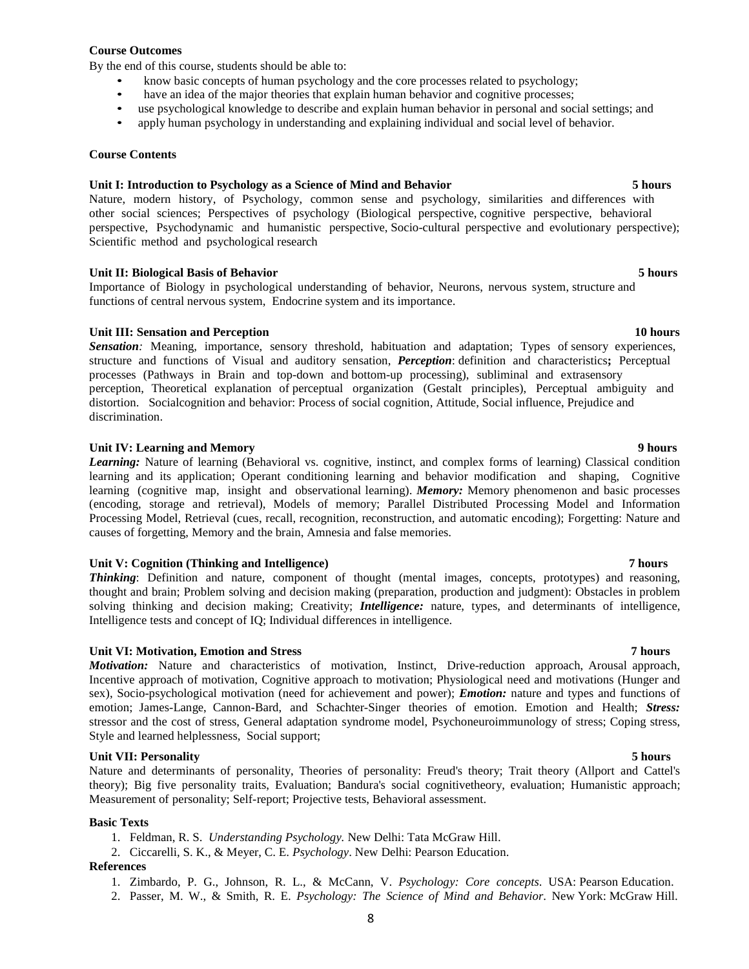# **Course Outcomes**

By the end of this course, students should be able to:

- know basic concepts of human psychology and the core processes related to psychology;
- have an idea of the major theories that explain human behavior and cognitive processes;
- use psychological knowledge to describe and explain human behavior in personal and social settings; and
- apply human psychology in understanding and explaining individual and social level of behavior.

#### **Course Contents**

### **Unit I: Introduction to Psychology as a Science of Mind and Behavior 5 hours**

Nature, modern history, of Psychology, common sense and psychology, similarities and differences with other social sciences; Perspectives of psychology (Biological perspective, cognitive perspective, behavioral perspective, Psychodynamic and humanistic perspective, Socio-cultural perspective and evolutionary perspective); Scientific method and psychological research

### **Unit II: Biological Basis of Behavior 5 hours**

Importance of Biology in psychological understanding of behavior, Neurons, nervous system, structure and functions of central nervous system, Endocrine system and its importance.

### **Unit III: Sensation and Perception 10 hours**

*Sensation:* Meaning, importance, sensory threshold, habituation and adaptation; Types of sensory experiences, structure and functions of Visual and auditory sensation, *Perception*: definition and characteristics**;** Perceptual processes (Pathways in Brain and top-down and bottom-up processing), subliminal and extrasensory perception, Theoretical explanation of perceptual organization (Gestalt principles), Perceptual ambiguity and distortion. Socialcognition and behavior: Process of social cognition, Attitude, Social influence, Prejudice and discrimination.

#### **Unit IV: Learning and Memory 9 hours**

*Learning:* Nature of learning (Behavioral vs. cognitive, instinct, and complex forms of learning) Classical condition learning and its application; Operant conditioning learning and behavior modification and shaping, Cognitive learning (cognitive map, insight and observational learning). *Memory:* Memory phenomenon and basic processes (encoding, storage and retrieval), Models of memory; Parallel Distributed Processing Model and Information Processing Model, Retrieval (cues, recall, recognition, reconstruction, and automatic encoding); Forgetting: Nature and causes of forgetting, Memory and the brain, Amnesia and false memories.

### **Unit V: Cognition (Thinking and Intelligence) 7 hours**

*Thinking*: Definition and nature, component of thought (mental images, concepts, prototypes) and reasoning, thought and brain; Problem solving and decision making (preparation, production and judgment): Obstacles in problem solving thinking and decision making; Creativity; *Intelligence:* nature, types, and determinants of intelligence, Intelligence tests and concept of IQ; Individual differences in intelligence.

#### **Unit VI: Motivation, Emotion and Stress 7 hours**

*Motivation:* Nature and characteristics of motivation, Instinct, Drive-reduction approach, Arousal approach, Incentive approach of motivation, Cognitive approach to motivation; Physiological need and motivations (Hunger and sex), Socio-psychological motivation (need for achievement and power); *Emotion:* nature and types and functions of emotion; James-Lange, Cannon-Bard, and Schachter-Singer theories of emotion. Emotion and Health; *Stress:* stressor and the cost of stress, General adaptation syndrome model, Psychoneuroimmunology of stress; Coping stress, Style and learned helplessness, Social support;

### **Unit VII: Personality 5 hours**

Nature and determinants of personality, Theories of personality: Freud's theory; Trait theory (Allport and Cattel's theory); Big five personality traits, Evaluation; Bandura's social cognitivetheory, evaluation; Humanistic approach; Measurement of personality; Self-report; Projective tests, Behavioral assessment.

#### **Basic Texts**

- 1. Feldman, R. S. *Understanding Psychology.* New Delhi: Tata McGraw Hill.
- 2. Ciccarelli, S. K., & Meyer, C. E. *Psychology*. New Delhi: Pearson Education.

### **References**

- 1. Zimbardo, P. G., Johnson, R. L., & McCann, V. *Psychology: Core concepts*. USA: Pearson Education.
- 2. Passer, M. W., & Smith, R. E. *Psychology: The Science of Mind and Behavior*. New York: McGraw Hill.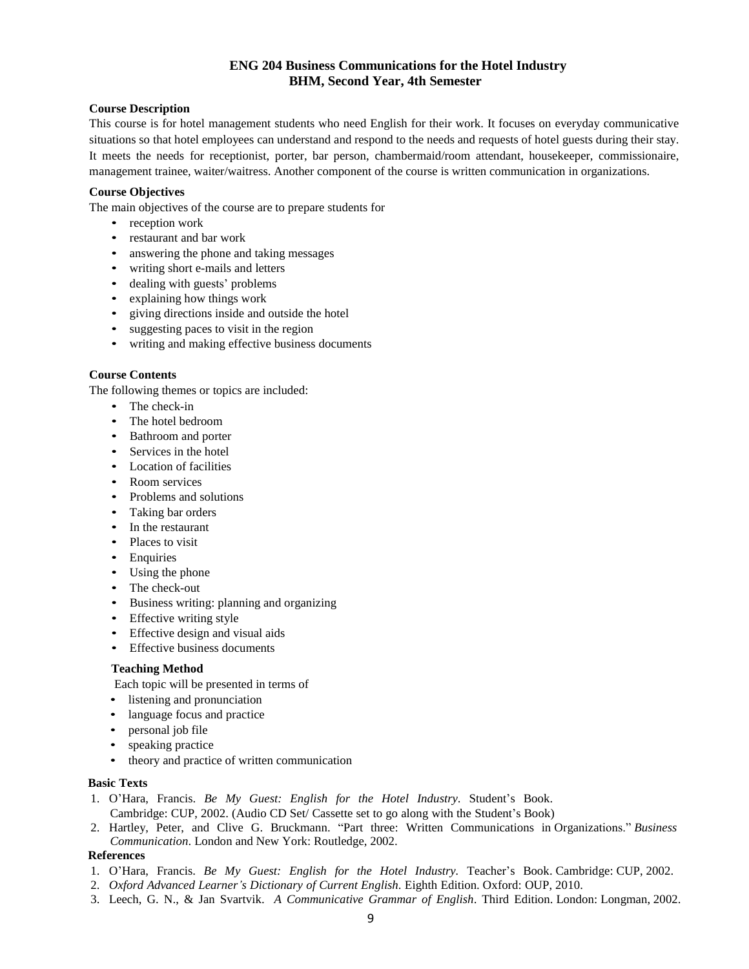# **ENG 204 Business Communications for the Hotel Industry BHM, Second Year, 4th Semester**

# **Course Description**

This course is for hotel management students who need English for their work. It focuses on everyday communicative situations so that hotel employees can understand and respond to the needs and requests of hotel guests during their stay. It meets the needs for receptionist, porter, bar person, chambermaid/room attendant, housekeeper, commissionaire, management trainee, waiter/waitress. Another component of the course is written communication in organizations.

### **Course Objectives**

The main objectives of the course are to prepare students for

- reception work
- restaurant and bar work
- answering the phone and taking messages
- writing short e-mails and letters
- dealing with guests' problems
- explaining how things work
- giving directions inside and outside the hotel
- suggesting paces to visit in the region
- writing and making effective business documents

### **Course Contents**

The following themes or topics are included:

- The check-in
- The hotel bedroom
- Bathroom and porter
- Services in the hotel
- Location of facilities
- Room services
- Problems and solutions
- Taking bar orders
- In the restaurant
- Places to visit
- Enquiries
- Using the phone
- The check-out
- Business writing: planning and organizing
- Effective writing style
- Effective design and visual aids
- Effective business documents

### **Teaching Method**

Each topic will be presented in terms of

- listening and pronunciation
- language focus and practice
- personal job file
- speaking practice
- theory and practice of written communication

### **Basic Texts**

- 1. O'Hara, Francis. *Be My Guest: English for the Hotel Industry*. Student's Book. Cambridge: CUP, 2002. (Audio CD Set/ Cassette set to go along with the Student's Book)
- 2. Hartley, Peter, and Clive G. Bruckmann. "Part three: Written Communications in Organizations." *Business Communication*. London and New York: Routledge, 2002.

### **References**

- 1. O'Hara, Francis. *Be My Guest: English for the Hotel Industry.* Teacher's Book. Cambridge: CUP, 2002.
- 2. *Oxford Advanced Learner's Dictionary of Current English*. Eighth Edition. Oxford: OUP, 2010.
- 3. Leech, G. N., & Jan Svartvik. *A Communicative Grammar of English*. Third Edition. London: Longman, 2002.